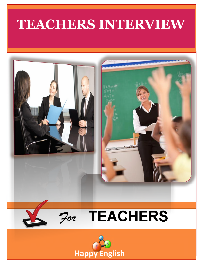# **TEACHERS INTERVIEW**



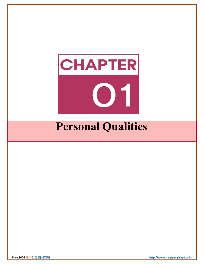

2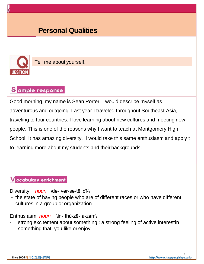

Tell me about yourself.

# Sample response

Good morning, my name is Sean Porter. I would describe myself as adventurous and outgoing. Last year I traveled throughout Southeast Asia, traveling to four countries. I love learning about new cultures and meeting new people. This is one of the reasons why I want to teach at Montgomery High School. It has amazing diversity. I would take this same enthusiasm and applyit to learning more about my students and their backgrounds.

### V ocabulary enrichment

Diversity *noun* \də-ˈvər-sə-tē, dī-\

- the state of having people who are of different races or who have different cultures in a group or organization

Enthusiasm *noun* \in-ˈthü-zē-ˌa-zəm\

strong excitement about something : a strong feeling of active interestin something that you like or enjoy.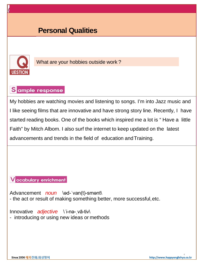

What are your hobbies outside work?

# Sample response

My hobbies are watching movies and listening to songs. I'm into Jazz music and I like seeing films that are innovative and have strong story line. Recently, I have started reading books. One of the books which inspired me a lot is " Have a little Faith" by Mitch Albom. I also surf the internet to keep updated on the latest advancements and trends in the field of education andTraining.

#### **V** ocabulary enrichment

Advancement *noun* \əd-'van(t)-smənt\ - the act or result of making something better, more successful,etc.

Innovative *adjective* \'i-nə- vā-tiv\ - introducing or using new ideas or methods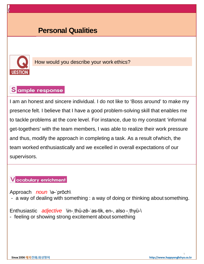

How would you describe your work ethics?

# Sample response

I am an honest and sincere individual. I do not like to 'Boss around' to make my presence felt. I believe that I have a good problem-solving skill that enables me to tackle problems at the core level. For instance, due to my constant 'informal get-togethers' with the team members, I was able to realize their work pressure and thus, modify the approach in completing a task. As a result ofwhich, the team worked enthusiastically and we excelled in overall expectations of our supervisors.

#### **V** ocabulary enrichment

Approach *noun* \ə-ˈprōch\

- a way of dealing with something : a way of doing or thinking about something.

Enthusiastic *adjective* \in-ˌthü-zē-ˈas-tik, en-, also -ˌthyü-\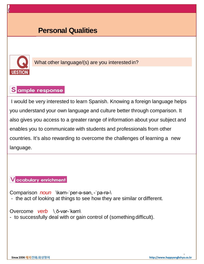

What other language/(s) are you interested in?

# Sample response

I would be very interested to learn Spanish. Knowing a foreign language helps you understand your own language and culture better through comparison. It also gives you access to a greater range of information about your subject and enables you to communicate with students and professionals from other countries. It's also rewarding to overcome the challenges of learning a new language.

#### **V** ocabulary enrichment

Comparison *noun* \kəm-ˈper-ə-sən, -ˈpa-rə-\ - the act of looking at things to see how they are similar ordifferent.

#### Overcome *verb* \ˌō-vər-ˈkəm\

- to successfully deal with or gain control of (something difficult).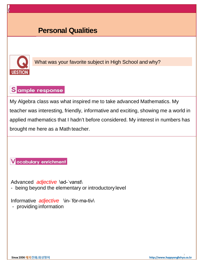

What was your favorite subject in High School and why?

# Sample response

My Algebra class was what inspired me to take advanced Mathematics. My teacher was interesting, friendly, informative and exciting, showing me a world in applied mathematics that I hadn't before considered. My interest in numbers has brought me here as a Math teacher.

**V** ocabulary enrichment

Advanced *adjective* \ed-'vanst\ - being beyond the elementary or introductorylevel

Informative *adjective* \in-ˈfȯr-mə-tiv\ - providing information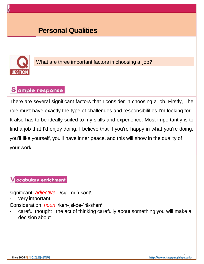

What are three important factors in choosing a job?

# Sample response

There are several significant factors that I consider in choosing a job. Firstly, The role must have exactly the type of challenges and responsibilities I'm looking for . It also has to be ideally suited to my skills and experience. Most importantly is to find a job that I'd enjoy doing. I believe that If you're happy in what you're doing, you'll like yourself, you'll have inner peace, and this will show in the quality of your work.

#### **V** ocabulary enrichment

significant *adjective* \sig-ˈni-fi-kənt\

very important.

Consideration *noun* \kən-ˌsi-də-ˈrā-shən\

careful thought : the act of thinking carefully about something you will make a decision about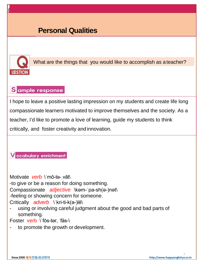

What are the things that you would like to accomplish as a teacher?

# Sample response

I hope to leave a positive lasting impression on my students and create life long compassionate learners motivated to improve themselves and the society. As a teacher, I'd like to promote a love of learning, guide my students to think critically, and foster creativity and innovation.

#### Vocabulary enrichment

Motivate *verb* \ˈmō-tə-ˌvāt\ -to give or be a reason for doing something. Compassionate *adjective* \kəm-ˈpa-sh(ə-)nət\ -feeling or showing concern for someone. Critically *adverb* \'kri-ti-k(a-)lē\ using or involving careful judgment about the good and bad parts of something.

Foster verb \ˈfȯs-tər, ˈfäs-\

to promote the growth or development.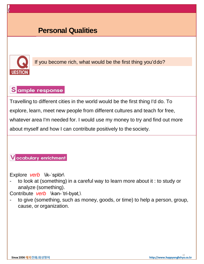

If you become rich, what would be the first thing you'ddo?

# Sample response

Travelling to different cities in the world would be the first thing I'd do. To explore, learn, meet new people from different cultures and teach for free, whatever area I'm needed for. I would use my money to try and find out more about myself and how I can contribute positively to the society.

#### **V** ocabulary enrichment

Explore *verb* \ik-ˈsplȯr\

- to look at (something) in a careful way to learn more about it : to study or analyze (something).

Contribute *verb* \kən-ˈtri-byət,\

to give (something, such as money, goods, or time) to help a person, group, cause, or organization.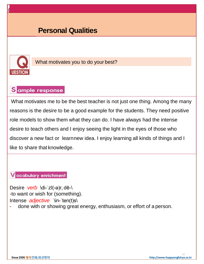

What motivates you to do your best?

### Sample response

What motivates me to be the best teacher is not just one thing. Among the many reasons is the desire to be a good example for the students. They need positive role models to show them what they can do. I have always had the intense desire to teach others and I enjoy seeing the light in the eyes of those who discover a new fact or learnnew idea. I enjoy learning all kinds of things and I like to share that knowledge.

**V** ocabulary enrichment

Desire *verb* \di-ˈzī(-ə)r, dē-\ -to want or wish for (something). Intense *adjective* \in-ˈten(t)s\

done with or showing great energy, enthusiasm, or effort of a person.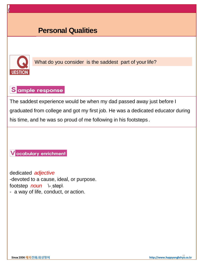

What do you consider is the saddest part of your life?

# Sample response

The saddest experience would be when my dad passed away just before I graduated from college and got my first job. He was a dedicated educator during his time, and he was so proud of me following in his footsteps .

V ocabulary enrichment

dedicated *adjective* -devoted to a cause, ideal, or purpose. footstep *noun* \- step\ - a way of life, conduct, or action.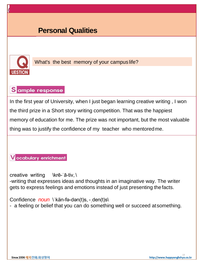

What's the best memory of your campus life?

### Sample response

In the first year of University, when I just began learning creative writing , I won the third prize in a Short story writing competition. That was the happiest memory of education for me. The prize was not important, but the most valuable thing was to justify the confidence of my teacher who mentoredme.

**V** ocabulary enrichment

creative writing  $\kappa$ -tiv, \

-writing that expresses ideas and thoughts in an imaginative way. The writer gets to express feelings and emotions instead of just presenting thefacts.

Confidence *noun* \'kän-fə-dən(t)s, - den(t)s\

- a feeling or belief that you can do something well or succeed atsomething.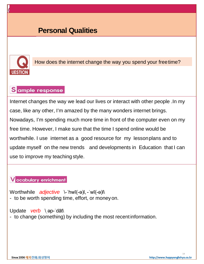

How does the internet change the way you spend your freetime?

# Sample response

Internet changes the way we lead our lives or interact with other people .In my case, like any other, I'm amazed by the many wonders internet brings. Nowadays, I'm spending much more time in front of the computer even on my free time. However, I make sure that the time I spend online would be worthwhile. I use internet as a good resource for my lessonplans and to update myself on the new trends and developments in Education that I can use to improve my teaching style.

#### **V** ocabulary enrichment

Worthwhile *adjective* \-ˈhwī(-ə)l,-ˈwī(-ə)l\ - to be worth spending time, effort, or money on.

#### Update *verb* \ ap-'dāt\

- to change (something) by including the most recentinformation.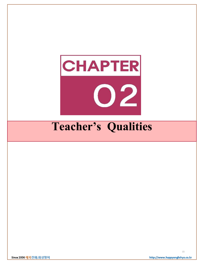

# **Teacher's Qualities**

Since 2006 해피전화.화상영어

15http://www.happyenglishyo.co.kr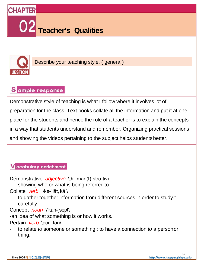



Describe your teaching style. ( general)

# Sample response

Demonstrative style of teaching is what I follow where it involves lot of preparation for the class. Text books collate all the information and put it at one place for the students and hence the role of a teacher is to explain the concepts in a way that students understand and remember. Organizing practical sessions and showing the videos pertaining to the subject helps studentsbetter.

#### **V** ocabulary enrichment

Démonstrative *adjective* \di-ˈmän(t)-strə-tiv\

- showing who or what is being referred to.
- Collate *verb* \kə-ˈlāt, käˌ\
- to gather together information from different sources in order to study it carefully.
- Concept *noun* \'kän- sept\

-an idea of what something is or how it works.

Pertain *verb* \pər-'tān\

- to relate *to* someone or something : to have a connection *to* a personor thing.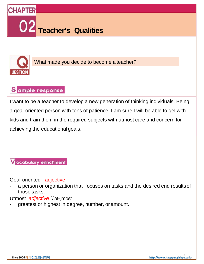



What made you decide to become a teacher?

# Sample response

I want to be a teacher to develop a new generation of thinking individuals. Being a goal-oriented person with tons of patience, I am sure I will be able to gel with kids and train them in the required subjects with utmost care and concern for achieving the educational goals.

**V** ocabulary enrichment

Goal-oriented adjective

a person or organization that focuses on tasks and the desired end results of those tasks.

Utmost *adjective* \'at- most

greatest or highest in degree, number, or amount.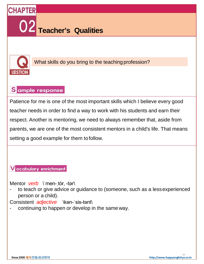



What skills do you bring to the teaching profession?

### Sample response

Patience for me is one of the most important skills which I believe every good teacher needs in order to find a way to work with his students and earn their respect. Another is mentoring, we need to always remember that, aside from parents, we are one of the most consistent mentors in a child's life. That means setting a good example for them tofollow.

#### V ocabulary enrichment

Mentor *verb* \'men- tor, -tər\

to teach or give advice or guidance to (someone, such as a less experienced person or a child).

Consistent *adjective* \kən-ˈsis-tənt\

continuing to happen or develop in the same way.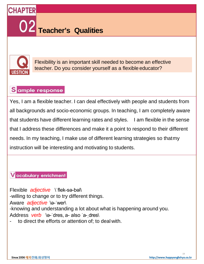**Teacher's Qualities**



**CHAPTER** 

Flexibility is an important skill needed to become an effective teacher. Do you consider yourself as a flexible educator?

# Sample response

Yes, I am a flexible teacher. I can deal effectively with people and students from all backgrounds and socio-economic groups. In teaching, I am completely aware that students have different learning rates and styles. I am flexible in the sense that I address these differences and make it a point to respond to their different needs. In my teaching, I make use of different learning strategies so thatmy instruction will be interesting and motivating to students.

#### V ocabulary enrichment

Flexible *adjective* \ˈflek-sə-bəl\ -willing to change or to try different things. Aware *adjective* \ə-ˈwer\ -knowing and understanding a lot about what is happening around you. Address *verb* \ə-ˈdres, a- also ˈa-ˌdres\ to direct the efforts or attention of; to deal with.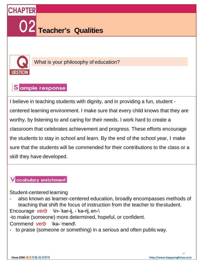



What is your philosophy of education?

### Sample response

I believe in teaching students with dignity, and in providing a fun, student centered learning environment. I make sure that every child knows that they are worthy, by listening to and caring for their needs. I work hard to create a classroom that celebrates achievement and progress. These efforts encourage the students to stay in school and learn. By the end of the school year, I make sure that the students will be commended for their contributions to the class or a skill they have developed.

#### **V** ocabulary enrichment

Student-centered learning

also known as learner-centered education, broadly encompasses methods of teaching that shift the focus of instruction from the teacher to thestudent.

Encourage *verb* \in-ˈkər-ij, -ˈkə-rij, en-\

-to make (someone) more determined, hopeful, or confident.

Commend *verb* \kə-ˈmend\

- to praise (someone or something) in a serious and often public way.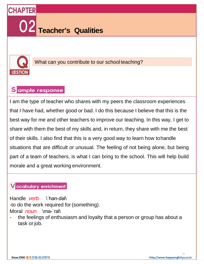



What can you contribute to our school teaching?

# Sample response

I am the type of teacher who shares with my peers the classroom experiences that I have had, whether good or bad. I do this because I believe that this is the best way for me and other teachers to improve our teaching. In this way, I get to share with them the best of my skills and, in return, they share with me the best of their skills. I also find that this is a very good way to learn how tohandle situations that are difficult or unusual. The feeling of not being alone, but being part of a team of teachers, is what I can bring to the school. This will help build morale and a great working environment.

### V ocabulary enrichment

Handle *verb* \'han-dəl\

-to do the work required for (something).

Moral *noun* \mə-ˈral\

the feelings of enthusiasm and loyalty that a person or group has about a task or job.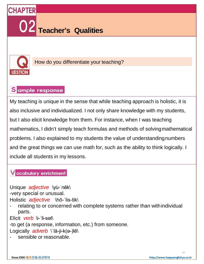



How do you differentiate your teaching?

# Sample response

My teaching is unique in the sense that while teaching approach is holistic, it is also inclusive and individualized. I not only share knowledge with my students, but I also elicit knowledge from them. For instance, when I was teaching mathematics, I didn't simply teach formulas and methods of solvingmathematical problems. I also explained to my students the value of understandingnumbers and the great things we can use math for, such as the ability to think logically. I include all students in my lessons.

#### **V** ocabulary enrichment

Unique *adjective* \yu-'nēk\ -very special or unusual. Holistic *adjective* \hō-ˈlis-tik\

relating to or concerned with complete systems rather than with individual parts.

Elicit *verb* \i-ˈli-sət\

-to get (a response, information, etc.) from someone.

Logically *adverb* \ˈlä-ji-k(ə-)lē\

sensible or reasonable.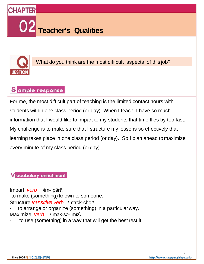**Teacher's Qualities**



**CHAPTER** 

What do you think are the most difficult aspects of this job?

### Sample response

For me, the most difficult part of teaching is the limited contact hours with students within one class period (or day). When I teach, I have so much information that I would like to impart to my students that time flies by too fast. My challenge is to make sure that I structure my lessons so effectively that learning takes place in one class period (or day). So I plan ahead tomaximize every minute of my class period (orday).

ocabulary enrichment

Impart *verb* \im-ˈpärt\ -to make (something) known to someone. Structure *transitive verb* \'strak-char\ to arrange or organize (something) in a particular way. Maximize *verb* \'mak-sə- mīz\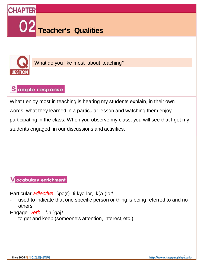



What do you like most about teaching?

# Sample response

What I enjoy most in teaching is hearing my students explain, in their own words, what they learned in a particular lesson and watching them enjoy participating in the class. When you observe my class, you will see that I get my students engaged in our discussions and activities.

### V ocabulary enrichment

Particular *adjective* \pə(r)-ˈti-kyə-lər, -k(ə-)lər\

used to indicate that one specific person or thing is being referred to and no others.

Engage *verb* \in-ˈgāj \

to get and keep (someone's attention, interest, etc.).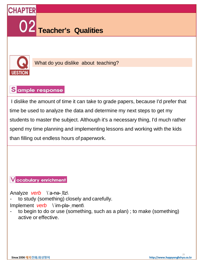



What do you dislike about teaching?

### Sample response

I dislike the amount of time it can take to grade papers, because I'd prefer that time be used to analyze the data and determine my next steps to get my students to master the subject. Although it's a necessary thing, I'd much rather spend my time planning and implementing lessons and working with the kids than filling out endless hours of paperwork.

V ocabulary enrichment

Analyze *verb* \ˈa-nə-ˌlīz\

to study (something) closely and carefully.

Implement *verb* \'im-pla-\_ment\

- to begin to do or use (something, such as a plan) ; to make (something) active or effective.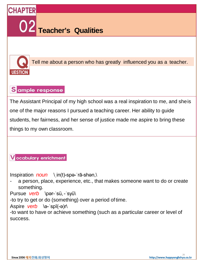



Tell me about a person who has greatly influenced you as a teacher.

### Sample response

The Assistant Principal of my high school was a real inspiration to me, and sheis one of the major reasons I pursued a teaching career. Her ability to guide students, her fairness, and her sense of justice made me aspire to bring these things to my own classroom.

#### **V** ocabulary enrichment

Inspiration *noun* \ˌin(t)-spə-ˈrā-shən,\

a person, place, experience, etc., that makes someone want to do or create something.

Pursue *verb* \pər-ˈsü,-ˈsyü\

-to try to get or do (something) over a period oftime.

Aspire *verb* \ə-ˈspī(-ə)r\

-to want to have or achieve something (such as a particular career or level of success.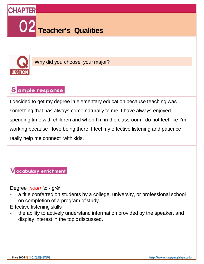

# **Teacher's Qualities**



**CHAPTER** 

Why did you choose your major?

# Sample response

I decided to get my degree in elementary education because teaching was something that has always come naturally to me. I have always enjoyed spending time with children and when I'm in the classroom I do not feel like I'm working because I love being there! I feel my effective listening and patience really help me connect with kids.

#### **V** ocabulary enrichment

Degree *noun* \di-ˈgrē\

- a title conferred on students by a college, university, or professional school on completion of a program of study.
- Effective listening skills
- the ability to actively understand information provided by the speaker, and display interest in the topic discussed.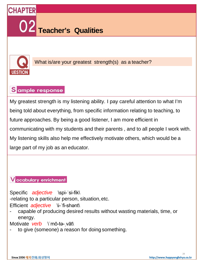



What is/are your greatest strength(s) as a teacher?

# Sample response

My greatest strength is my listening ability. I pay careful attention to what I'm being told about everything, from specific information relating to teaching, to future approaches. By being a good listener, I am more efficient in communicating with my students and their parents , and to all people I work with. My listening skills also help me effectively motivate others, which would be a large part of my job as an educator.

#### **V** ocabulary enrichment

Specific *adjective* \spi-ˈsi-fik\ -relating to a particular person, situation,etc.

Efficient *adjective* \i-ˈfi-shənt\

- capable of producing desired results without wasting materials, time, or energy.

Motivate *verb* \'mō-tə- vāt\

to give (someone) a reason for doing something.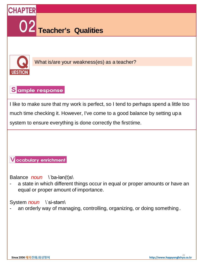



What is/are your weakness(es) as a teacher?

### Sample response

I like to make sure that my work is perfect, so I tend to perhaps spend a little too much time checking it. However, I've come to a good balance by setting up a system to ensure everything is done correctly the firsttime.

**V** ocabulary enrichment

Balance *noun* \ˈba-lən(t)s\

a state in which different things occur in equal or proper amounts or have an equal or proper amount of importance.

System *noun* \'si-stam\

an orderly way of managing, controlling, organizing, or doing something.